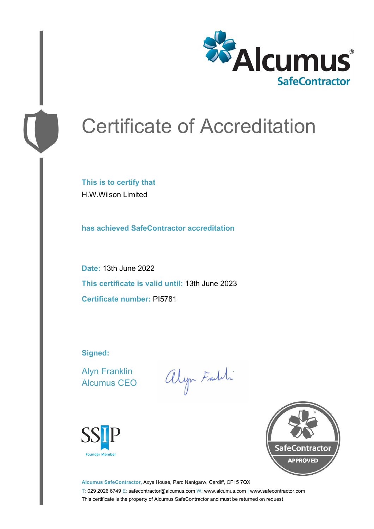

# Certificate of Accreditation

**This is to certify that** H.W.Wilson Limited

**has achieved SafeContractor accreditation**

**Date:** 13th June 2022 **This certificate is valid until:** 13th June 2023 **Certificate number:** PI5781

**Signed:**

Alyn Franklin Alcumus CEO

alyn Faith





**Alcumus SafeContractor,** Axys House, Parc Nantgarw, Cardiff, CF15 7QX T: 029 2026 6749 E: safecontractor@alcumus.com W: www.alcumus.com | www.safecontractor.com This certificate is the property of Alcumus SafeContractor and must be returned on request